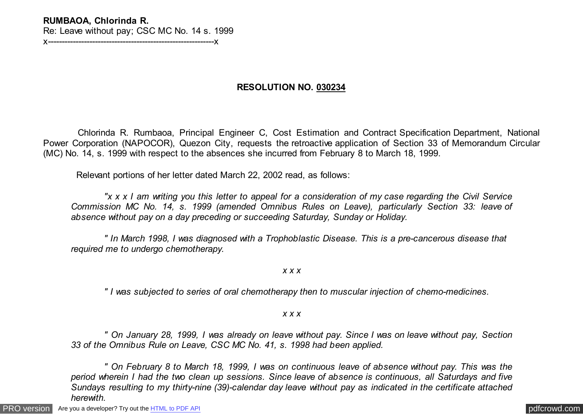## **RUMBAOA, Chlorinda R.**  Re: Leave without pay; CSC MC No. 14 s. 1999 x------------------------------------------------------------x

**RESOLUTION NO. 030234**

 Chlorinda R. Rumbaoa, Principal Engineer C, Cost Estimation and Contract Specification Department, National Power Corporation (NAPOCOR), Quezon City, requests the retroactive application of Section 33 of Memorandum Circular (MC) No. 14, s. 1999 with respect to the absences she incurred from February 8 to March 18, 1999.

Relevant portions of her letter dated March 22, 2002 read, as follows:

 *"x x x I am writing you this letter to appeal for a consideration of my case regarding the Civil Service Commission MC No. 14, s. 1999 (amended Omnibus Rules on Leave), particularly Section 33: leave of absence without pay on a day preceding or succeeding Saturday, Sunday or Holiday.*

 *" In March 1998, I was diagnosed with a Trophoblastic Disease. This is a pre-cancerous disease that required me to undergo chemotherapy.*

*x x x*

 *" I was subjected to series of oral chemotherapy then to muscular injection of chemo-medicines.*

*x x x*

 *" On January 28, 1999, I was already on leave without pay. Since I was on leave without pay, Section 33 of the Omnibus Rule on Leave, CSC MC No. 41, s. 1998 had been applied.*

 *" On February 8 to March 18, 1999, I was on continuous leave of absence without pay. This was the period wherein I had the two clean up sessions. Since leave of absence is continuous, all Saturdays and five Sundays resulting to my thirty-nine (39)-calendar day leave without pay as indicated in the certificate attached herewith.*

[PRO version](http://pdfcrowd.com/customize/) Are you a developer? Try out th[e HTML to PDF API](http://pdfcrowd.com/html-to-pdf-api/?ref=pdf) contract the contract of the HTML to PDF API [pdfcrowd.com](http://pdfcrowd.com)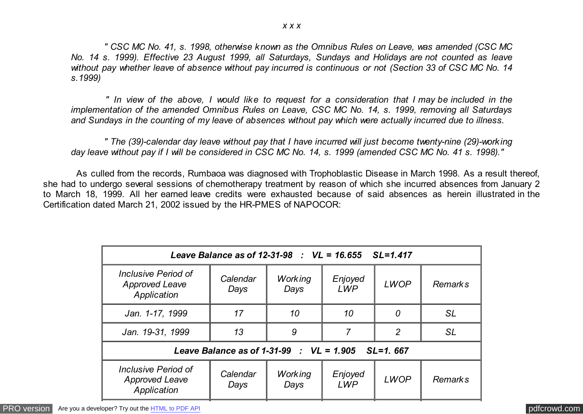*" CSC MC No. 41, s. 1998, otherwise known as the Omnibus Rules on Leave, was amended (CSC MC No. 14 s. 1999). Effective 23 August 1999, all Saturdays, Sundays and Holidays are not counted as leave without pay whether leave of absence without pay incurred is continuous or not (Section 33 of CSC MC No. 14 s.1999)*

 *" In view of the above, I would like to request for a consideration that I may be included in the implementation of the amended Omnibus Rules on Leave, CSC MC No. 14, s. 1999, removing all Saturdays and Sundays in the counting of my leave of absences without pay which were actually incurred due to illness.*

 *" The (39)-calendar day leave without pay that I have incurred will just become twenty-nine (29)-working day leave without pay if I will be considered in CSC MC No. 14, s. 1999 (amended CSC MC No. 41 s. 1998)."*

 As culled from the records, Rumbaoa was diagnosed with Trophoblastic Disease in March 1998. As a result thereof, she had to undergo several sessions of chemotherapy treatment by reason of which she incurred absences from January 2 to March 18, 1999. All her earned leave credits were exhausted because of said absences as herein illustrated in the Certification dated March 21, 2002 issued by the HR-PMES of NAPOCOR:

| Leave Balance as of 12-31-98 : $VL = 16.655$ SL=1.417              |                  |                        |                       |                |                |  |  |  |
|--------------------------------------------------------------------|------------------|------------------------|-----------------------|----------------|----------------|--|--|--|
| Inclusive Period of<br><b>Approved Leave</b><br>Application        | Calendar<br>Days | <b>Working</b><br>Days | Enjoyed<br><b>LWP</b> | <b>LWOP</b>    | <b>Remarks</b> |  |  |  |
| Jan. 1-17, 1999                                                    | 17               | 10                     | 10                    | 0              | <b>SL</b>      |  |  |  |
| Jan. 19-31, 1999                                                   | 13               | 9                      | 7                     | $\overline{2}$ | <b>SL</b>      |  |  |  |
| Leave Balance as of 1-31-99 : $VL = 1.905$ SL=1, 667               |                  |                        |                       |                |                |  |  |  |
| <b>Inclusive Period of</b><br><b>Approved Leave</b><br>Application | Calendar<br>Days | <b>Working</b><br>Days | Enjoyed<br><b>LWP</b> | <b>LWOP</b>    | <b>Remarks</b> |  |  |  |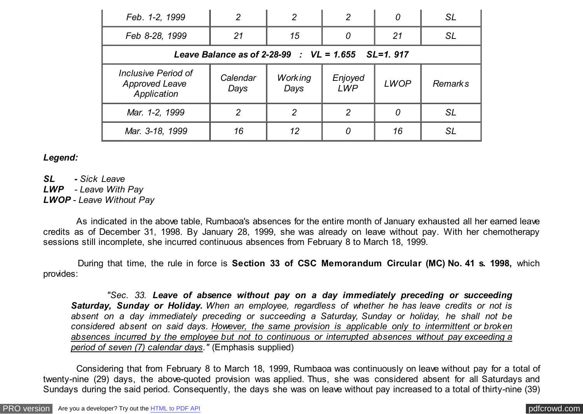| Feb. 1-2, 1999                                              | $\overline{2}$   | $\overline{2}$         | 2                     | 0           | SL             |  |  |  |
|-------------------------------------------------------------|------------------|------------------------|-----------------------|-------------|----------------|--|--|--|
| Feb 8-28, 1999                                              | 21               | 15                     | 0                     | 21          | <b>SL</b>      |  |  |  |
| Leave Balance as of 2-28-99 : $VL = 1.655$ SL=1. 917        |                  |                        |                       |             |                |  |  |  |
| Inclusive Period of<br><b>Approved Leave</b><br>Application | Calendar<br>Days | <b>Working</b><br>Days | Enjoyed<br><b>LWP</b> | <b>LWOP</b> | <b>Remarks</b> |  |  |  |
| Mar. 1-2, 1999                                              | 2                | $\overline{2}$         | $\overline{2}$        | 0           | <b>SL</b>      |  |  |  |
| Mar. 3-18, 1999                                             | 16               | 12                     | 0                     | 16          | SL             |  |  |  |

## *Legend:*

*SL - Sick Leave LWP - Leave With Pay LWOP - Leave Without Pay*

 As indicated in the above table, Rumbaoa's absences for the entire month of January exhausted all her earned leave credits as of December 31, 1998. By January 28, 1999, she was already on leave without pay. With her chemotherapy sessions still incomplete, she incurred continuous absences from February 8 to March 18, 1999.

 During that time, the rule in force is **Section 33 of CSC Memorandum Circular (MC) No. 41 s. 1998,** which provides:

 *"Sec. 33. Leave of absence without pay on a day immediately preceding or succeeding Saturday, Sunday or Holiday. When an employee, regardless of whether he has leave credits or not is absent on a day immediately preceding or succeeding a Saturday, Sunday or holiday, he shall not be considered absent on said days. However, the same provision is applicable only to intermittent or broken absences incurred by the employee but not to continuous or interrupted absences without pay exceeding a period of seven (7) calendar days."* (Emphasis supplied)

 Considering that from February 8 to March 18, 1999, Rumbaoa was continuously on leave without pay for a total of twenty-nine (29) days, the above-quoted provision was applied. Thus, she was considered absent for all Saturdays and Sundays during the said period. Consequently, the days she was on leave without pay increased to a total of thirty-nine (39)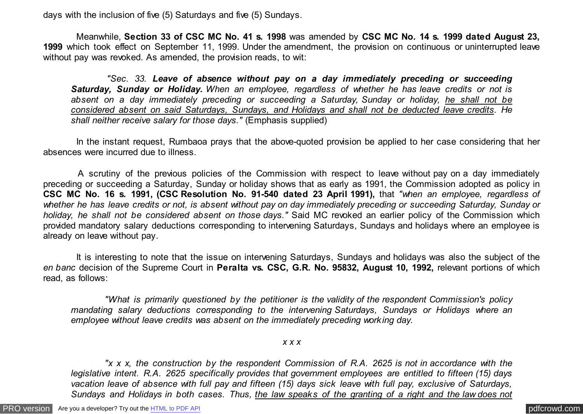days with the inclusion of five (5) Saturdays and five (5) Sundays.

 Meanwhile, **Section 33 of CSC MC No. 41 s. 1998** was amended by **CSC MC No. 14 s. 1999 dated August 23, 1999** which took effect on September 11, 1999. Under the amendment, the provision on continuous or uninterrupted leave without pay was revoked. As amended, the provision reads, to wit:

 *"Sec. 33. Leave of absence without pay on a day immediately preceding or succeeding Saturday, Sunday or Holiday. When an employee, regardless of whether he has leave credits or not is absent on a day immediately preceding or succeeding a Saturday, Sunday or holiday, he shall not be considered absent on said Saturdays, Sundays, and Holidays and shall not be deducted leave credits. He shall neither receive salary for those days."* (Emphasis supplied)

 In the instant request, Rumbaoa prays that the above-quoted provision be applied to her case considering that her absences were incurred due to illness.

 A scrutiny of the previous policies of the Commission with respect to leave without pay on a day immediately preceding or succeeding a Saturday, Sunday or holiday shows that as early as 1991, the Commission adopted as policy in **CSC MC No. 16 s. 1991, (CSC Resolution No. 91-540 dated 23 April 1991),** that *"when an employee, regardless of whether he has leave credits or not, is absent without pay on day immediately preceding or succeeding Saturday, Sunday or holiday, he shall not be considered absent on those days."* Said MC revoked an earlier policy of the Commission which provided mandatory salary deductions corresponding to intervening Saturdays, Sundays and holidays where an employee is already on leave without pay.

 It is interesting to note that the issue on intervening Saturdays, Sundays and holidays was also the subject of the *en banc* decision of the Supreme Court in **Peralta vs. CSC, G.R. No. 95832, August 10, 1992,** relevant portions of which read, as follows:

 *"What is primarily questioned by the petitioner is the validity of the respondent Commission's policy mandating salary deductions corresponding to the intervening Saturdays, Sundays or Holidays where an employee without leave credits was absent on the immediately preceding working day.*

*x x x*

 *"x x x, the construction by the respondent Commission of R.A. 2625 is not in accordance with the legislative intent. R.A. 2625 specifically provides that government employees are entitled to fifteen (15) days vacation leave of absence with full pay and fifteen (15) days sick leave with full pay, exclusive of Saturdays, Sundays and Holidays in both cases. Thus, the law speaks of the granting of a right and the law does not*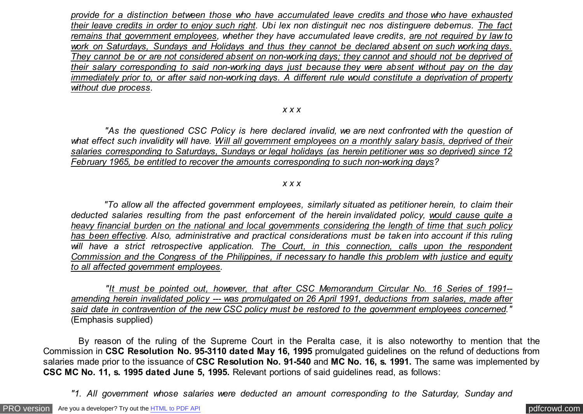*provide for a distinction between those who have accumulated leave credits and those who have exhausted their leave credits in order to enjoy such right. Ubi lex non distinguit nec nos distinguere debemus. The fact remains that government employees, whether they have accumulated leave credits, are not required by law to work on Saturdays, Sundays and Holidays and thus they cannot be declared absent on such working days. They cannot be or are not considered absent on non-working days; they cannot and should not be deprived of their salary corresponding to said non-working days just because they were absent without pay on the day immediately prior to, or after said non-working days. A different rule would constitute a deprivation of property without due process.*

## *x x x*

 *"As the questioned CSC Policy is here declared invalid, we are next confronted with the question of what effect such invalidity will have. Will all government employees on a monthly salary basis, deprived of their salaries corresponding to Saturdays, Sundays or legal holidays (as herein petitioner was so deprived) since 12 February 1965, be entitled to recover the amounts corresponding to such non-working days?*

## *x x x*

 *"To allow all the affected government employees, similarly situated as petitioner herein, to claim their deducted salaries resulting from the past enforcement of the herein invalidated policy, would cause quite a heavy financial burden on the national and local governments considering the length of time that such policy has been effective. Also, administrative and practical considerations must be taken into account if this ruling will have a strict retrospective application. The Court, in this connection, calls upon the respondent Commission and the Congress of the Philippines, if necessary to handle this problem with justice and equity to all affected government employees.*

 *"It must be pointed out, however, that after CSC Memorandum Circular No. 16 Series of 1991- amending herein invalidated policy --- was promulgated on 26 April 1991, deductions from salaries, made after said date in contravention of the new CSC policy must be restored to the government employees concerned."* (Emphasis supplied)

 By reason of the ruling of the Supreme Court in the Peralta case, it is also noteworthy to mention that the Commission in **CSC Resolution No. 95-3110 dated May 16, 1995** promulgated guidelines on the refund of deductions from salaries made prior to the issuance of **CSC Resolution No. 91-540** and **MC No. 16, s. 1991.** The same was implemented by **CSC MC No. 11, s. 1995 dated June 5, 1995.** Relevant portions of said guidelines read, as follows:

*"1. All government whose salaries were deducted an amount corresponding to the Saturday, Sunday and*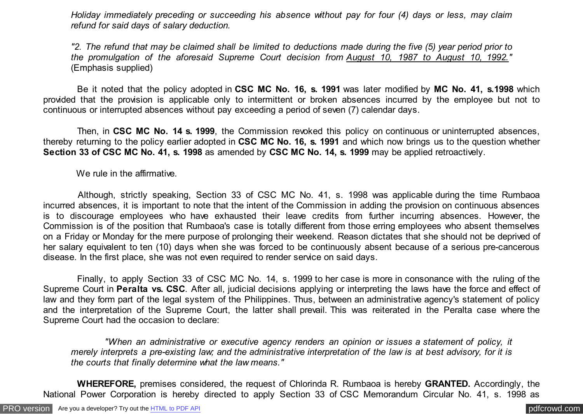*Holiday immediately preceding or succeeding his absence without pay for four (4) days or less, may claim refund for said days of salary deduction.*

*"2. The refund that may be claimed shall be limited to deductions made during the five (5) year period prior to the promulgation of the aforesaid Supreme Court decision from August 10, 1987 to August 10, 1992."* (Emphasis supplied)

 Be it noted that the policy adopted in **CSC MC No. 16, s. 1991** was later modified by **MC No. 41, s.1998** which provided that the provision is applicable only to intermittent or broken absences incurred by the employee but not to continuous or interrupted absences without pay exceeding a period of seven (7) calendar days.

 Then, in **CSC MC No. 14 s. 1999**, the Commission revoked this policy on continuous or uninterrupted absences, thereby returning to the policy earlier adopted in **CSC MC No. 16, s. 1991** and which now brings us to the question whether **Section 33 of CSC MC No. 41, s. 1998** as amended by **CSC MC No. 14, s. 1999** may be applied retroactively.

We rule in the affirmative.

 Although, strictly speaking, Section 33 of CSC MC No. 41, s. 1998 was applicable during the time Rumbaoa incurred absences, it is important to note that the intent of the Commission in adding the provision on continuous absences is to discourage employees who have exhausted their leave credits from further incurring absences. However, the Commission is of the position that Rumbaoa's case is totally different from those erring employees who absent themselves on a Friday or Monday for the mere purpose of prolonging their weekend. Reason dictates that she should not be deprived of her salary equivalent to ten (10) days when she was forced to be continuously absent because of a serious pre-cancerous disease. In the first place, she was not even required to render service on said days.

 Finally, to apply Section 33 of CSC MC No. 14, s. 1999 to her case is more in consonance with the ruling of the Supreme Court in **Peralta vs. CSC**. After all, judicial decisions applying or interpreting the laws have the force and effect of law and they form part of the legal system of the Philippines. Thus, between an administrative agency's statement of policy and the interpretation of the Supreme Court, the latter shall prevail. This was reiterated in the Peralta case where the Supreme Court had the occasion to declare:

 *"When an administrative or executive agency renders an opinion or issues a statement of policy, it merely interprets a pre-existing law; and the administrative interpretation of the law is at best advisory, for it is the courts that finally determine what the law means."*

 **WHEREFORE,** premises considered, the request of Chlorinda R. Rumbaoa is hereby **GRANTED.** Accordingly, the National Power Corporation is hereby directed to apply Section 33 of CSC Memorandum Circular No. 41, s. 1998 as